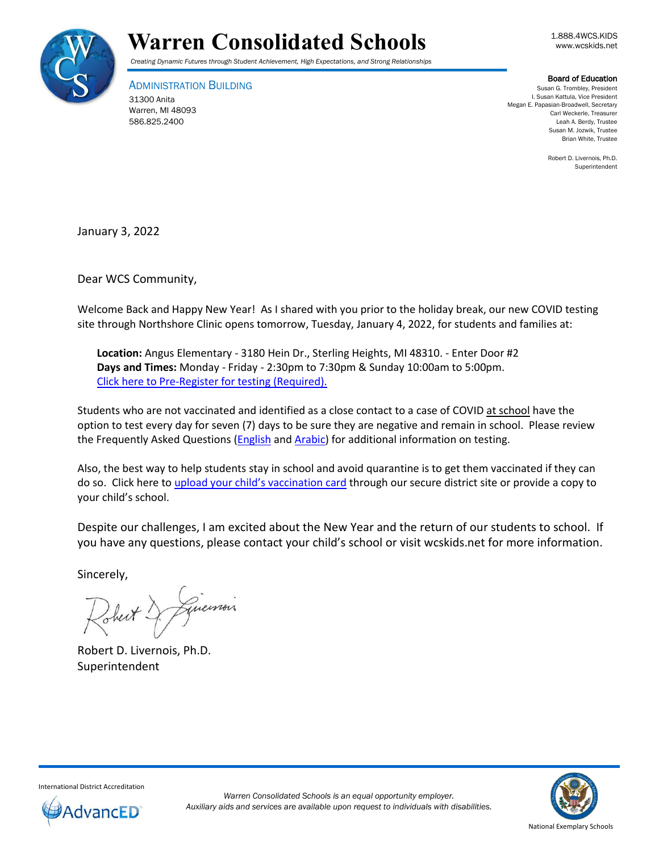



*Creating Dynamic Futures through Student Achievement, High Expectations, and Strong Relationships*

ADMINISTRATION BUILDING 31300 Anita Warren, MI 48093 586.825.2400

## Board of Education

Susan G. Trombley, President I. Susan Kattula, Vice President Megan E. Papasian-Broadwell, Secretary Carl Weckerle, Treasurer Leah A. Berdy, Trustee Susan M. Jozwik, Trustee Brian White, Trustee

> Robert D. Livernois, Ph.D. Superintendent

January 3, 2022

Dear WCS Community,

Welcome Back and Happy New Year! As I shared with you prior to the holiday break, our new COVID testing site through Northshore Clinic opens tomorrow, Tuesday, January 4, 2022, for students and families at:

**Location:** Angus Elementary - 3180 Hein Dr., Sterling Heights, MI 48310. - Enter Door #2 **Days and Times:** Monday - Friday - 2:30pm to 7:30pm & Sunday 10:00am to 5:00pm. Click here to [Pre-Register for testing \(Required\).](https://northshoreclinical.jotform.com/213206342238952)

Students who are not vaccinated and identified as a close contact to a case of COVID at school have the option to test every day for seven (7) days to be sure they are negative and remain in school. Please review the Frequently Asked Questions (*English* and **Arabic**) for additional information on testing.

Also, the best way to help students stay in school and avoid quarantine is to get them vaccinated if they can do so. Click here to [upload your child's vaccination card](https://www.wcskids.net/DocumentDepot/se/Forms/31/Add.aspx) through our secure district site or provide a copy to your child's school.

Despite our challenges, I am excited about the New Year and the return of our students to school. If you have any questions, please contact your child's school or visit wcskids.net for more information.

Sincerely,

Sheit

Robert D. Livernois, Ph.D. Superintendent



International District Accreditation